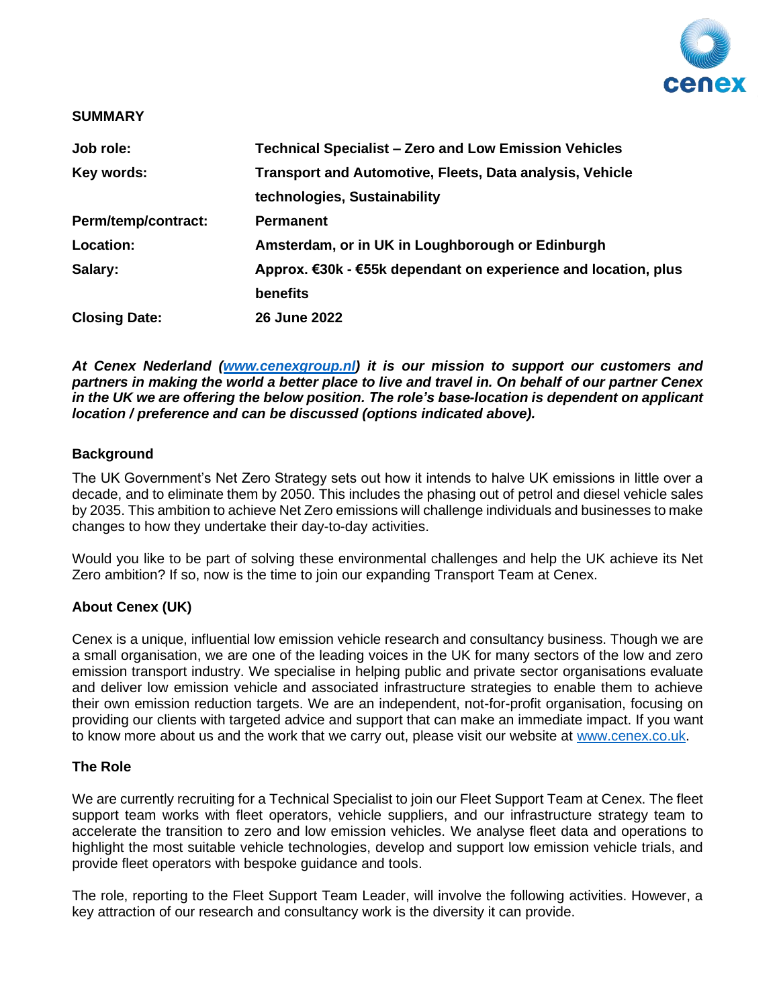

### **SUMMARY**

| Job role:            | <b>Technical Specialist - Zero and Low Emission Vehicles</b>   |
|----------------------|----------------------------------------------------------------|
| Key words:           | Transport and Automotive, Fleets, Data analysis, Vehicle       |
|                      | technologies, Sustainability                                   |
| Perm/temp/contract:  | <b>Permanent</b>                                               |
| Location:            | Amsterdam, or in UK in Loughborough or Edinburgh               |
| Salary:              | Approx. €30k - €55k dependant on experience and location, plus |
|                      | <b>benefits</b>                                                |
| <b>Closing Date:</b> | 26 June 2022                                                   |

*At Cenex Nederland [\(www.cenexgroup.nl\)](http://www.cenexgroup.nl/) it is our mission to support our customers and partners in making the world a better place to live and travel in. On behalf of our partner Cenex in the UK we are offering the below position. The role's base-location is dependent on applicant location / preference and can be discussed (options indicated above).*

## **Background**

The UK Government's Net Zero Strategy sets out how it intends to halve UK emissions in little over a decade, and to eliminate them by 2050. This includes the phasing out of petrol and diesel vehicle sales by 2035. This ambition to achieve Net Zero emissions will challenge individuals and businesses to make changes to how they undertake their day-to-day activities.

Would you like to be part of solving these environmental challenges and help the UK achieve its Net Zero ambition? If so, now is the time to join our expanding Transport Team at Cenex.

# **About Cenex (UK)**

Cenex is a unique, influential low emission vehicle research and consultancy business. Though we are a small organisation, we are one of the leading voices in the UK for many sectors of the low and zero emission transport industry. We specialise in helping public and private sector organisations evaluate and deliver low emission vehicle and associated infrastructure strategies to enable them to achieve their own emission reduction targets. We are an independent, not-for-profit organisation, focusing on providing our clients with targeted advice and support that can make an immediate impact. If you want to know more about us and the work that we carry out, please visit our website at [www.cenex.co.uk.](http://www.cenex.co.uk/)

## **The Role**

We are currently recruiting for a Technical Specialist to join our Fleet Support Team at Cenex. The fleet support team works with fleet operators, vehicle suppliers, and our infrastructure strategy team to accelerate the transition to zero and low emission vehicles. We analyse fleet data and operations to highlight the most suitable vehicle technologies, develop and support low emission vehicle trials, and provide fleet operators with bespoke guidance and tools.

The role, reporting to the Fleet Support Team Leader, will involve the following activities. However, a key attraction of our research and consultancy work is the diversity it can provide.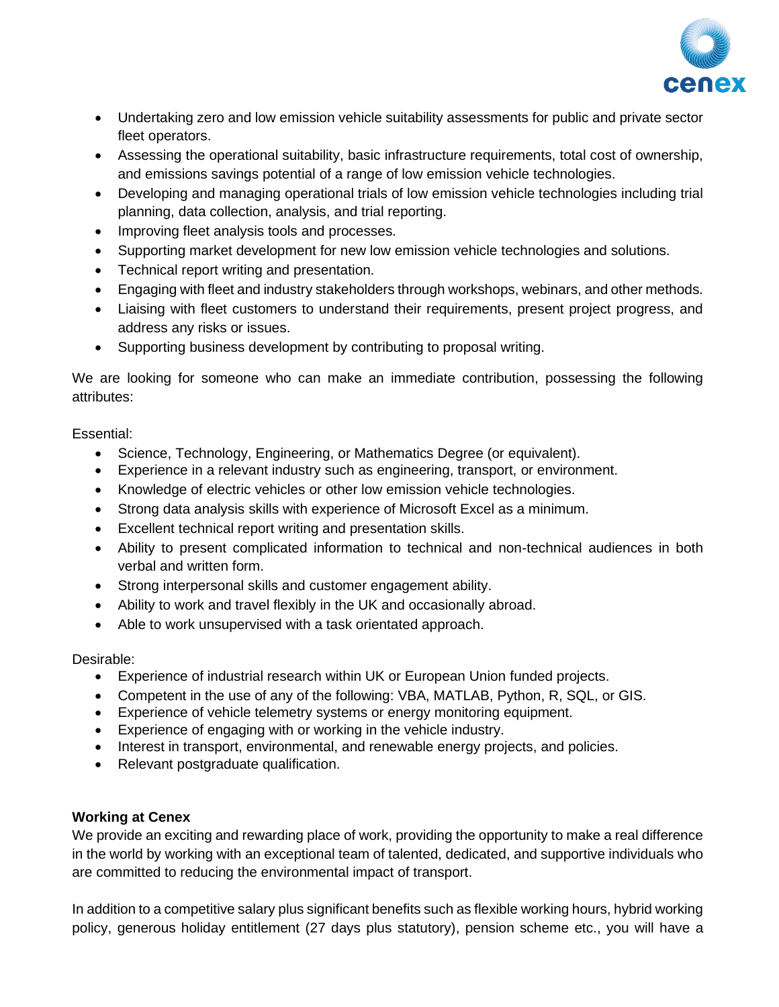

- Undertaking zero and low emission vehicle suitability assessments for public and private sector fleet operators.
- Assessing the operational suitability, basic infrastructure requirements, total cost of ownership, and emissions savings potential of a range of low emission vehicle technologies.
- Developing and managing operational trials of low emission vehicle technologies including trial planning, data collection, analysis, and trial reporting.
- Improving fleet analysis tools and processes.
- Supporting market development for new low emission vehicle technologies and solutions.
- Technical report writing and presentation.
- Engaging with fleet and industry stakeholders through workshops, webinars, and other methods.
- Liaising with fleet customers to understand their requirements, present project progress, and address any risks or issues.
- Supporting business development by contributing to proposal writing.

We are looking for someone who can make an immediate contribution, possessing the following attributes:

# Essential:

- Science, Technology, Engineering, or Mathematics Degree (or equivalent).
- Experience in a relevant industry such as engineering, transport, or environment.
- Knowledge of electric vehicles or other low emission vehicle technologies.
- Strong data analysis skills with experience of Microsoft Excel as a minimum.
- Excellent technical report writing and presentation skills.
- Ability to present complicated information to technical and non-technical audiences in both verbal and written form.
- Strong interpersonal skills and customer engagement ability.
- Ability to work and travel flexibly in the UK and occasionally abroad.
- Able to work unsupervised with a task orientated approach.

# Desirable:

- Experience of industrial research within UK or European Union funded projects.
- Competent in the use of any of the following: VBA, MATLAB, Python, R, SQL, or GIS.
- Experience of vehicle telemetry systems or energy monitoring equipment.
- Experience of engaging with or working in the vehicle industry.
- Interest in transport, environmental, and renewable energy projects, and policies.
- Relevant postgraduate qualification.

# **Working at Cenex**

We provide an exciting and rewarding place of work, providing the opportunity to make a real difference in the world by working with an exceptional team of talented, dedicated, and supportive individuals who are committed to reducing the environmental impact of transport.

In addition to a competitive salary plus significant benefits such as flexible working hours, hybrid working policy, generous holiday entitlement (27 days plus statutory), pension scheme etc., you will have a